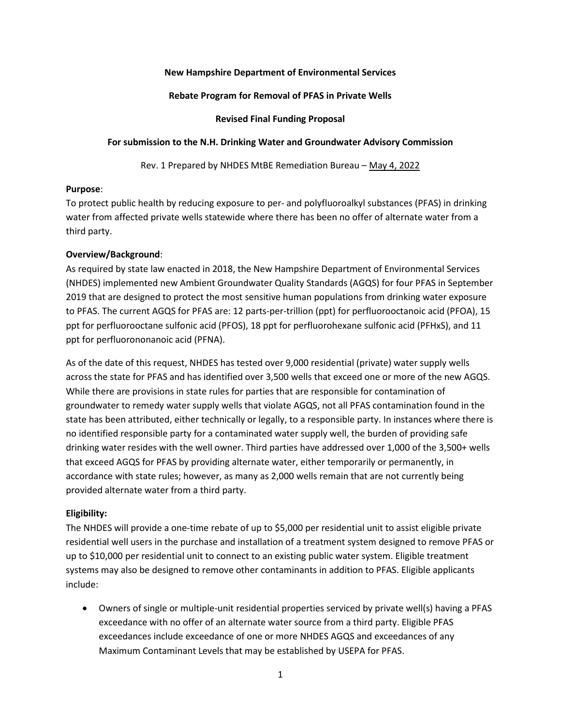## **New Hampshire Department of Environmental Services**

#### **Rebate Program for Removal of PFAS in Private Wells**

#### **Revised Final Funding Proposal**

#### **For submission to the N.H. Drinking Water and Groundwater Advisory Commission**

Rev. 1 Prepared by NHDES MtBE Remediation Bureau – May 4, 2022

#### **Purpose**:

To protect public health by reducing exposure to per- and polyfluoroalkyl substances (PFAS) in drinking water from affected private wells statewide where there has been no offer of alternate water from a third party.

## **Overview/Background**:

As required by state law enacted in 2018, the New Hampshire Department of Environmental Services (NHDES) implemented new Ambient Groundwater Quality Standards (AGQS) for four PFAS in September 2019 that are designed to protect the most sensitive human populations from drinking water exposure to PFAS. The current AGQS for PFAS are: 12 parts-per-trillion (ppt) for perfluorooctanoic acid (PFOA), 15 ppt for perfluorooctane sulfonic acid (PFOS), 18 ppt for perfluorohexane sulfonic acid (PFHxS), and 11 ppt for perfluorononanoic acid (PFNA).

As of the date of this request, NHDES has tested over 9,000 residential (private) water supply wells across the state for PFAS and has identified over 3,500 wells that exceed one or more of the new AGQS. While there are provisions in state rules for parties that are responsible for contamination of groundwater to remedy water supply wells that violate AGQS, not all PFAS contamination found in the state has been attributed, either technically or legally, to a responsible party. In instances where there is no identified responsible party for a contaminated water supply well, the burden of providing safe drinking water resides with the well owner. Third parties have addressed over 1,000 of the 3,500+ wells that exceed AGQS for PFAS by providing alternate water, either temporarily or permanently, in accordance with state rules; however, as many as 2,000 wells remain that are not currently being provided alternate water from a third party.

## **Eligibility:**

The NHDES will provide a one-time rebate of up to \$5,000 per residential unit to assist eligible private residential well users in the purchase and installation of a treatment system designed to remove PFAS or up to \$10,000 per residential unit to connect to an existing public water system. Eligible treatment systems may also be designed to remove other contaminants in addition to PFAS. Eligible applicants include:

• Owners of single or multiple-unit residential properties serviced by private well(s) having a PFAS exceedance with no offer of an alternate water source from a third party. Eligible PFAS exceedances include exceedance of one or more NHDES AGQS and exceedances of any Maximum Contaminant Levels that may be established by USEPA for PFAS.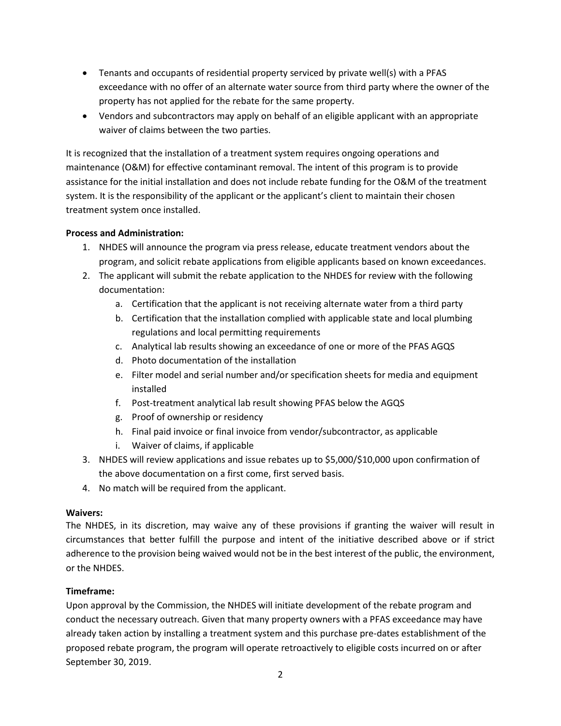- Tenants and occupants of residential property serviced by private well(s) with a PFAS exceedance with no offer of an alternate water source from third party where the owner of the property has not applied for the rebate for the same property.
- Vendors and subcontractors may apply on behalf of an eligible applicant with an appropriate waiver of claims between the two parties.

It is recognized that the installation of a treatment system requires ongoing operations and maintenance (O&M) for effective contaminant removal. The intent of this program is to provide assistance for the initial installation and does not include rebate funding for the O&M of the treatment system. It is the responsibility of the applicant or the applicant's client to maintain their chosen treatment system once installed.

# **Process and Administration:**

- 1. NHDES will announce the program via press release, educate treatment vendors about the program, and solicit rebate applications from eligible applicants based on known exceedances.
- 2. The applicant will submit the rebate application to the NHDES for review with the following documentation:
	- a. Certification that the applicant is not receiving alternate water from a third party
	- b. Certification that the installation complied with applicable state and local plumbing regulations and local permitting requirements
	- c. Analytical lab results showing an exceedance of one or more of the PFAS AGQS
	- d. Photo documentation of the installation
	- e. Filter model and serial number and/or specification sheets for media and equipment installed
	- f. Post-treatment analytical lab result showing PFAS below the AGQS
	- g. Proof of ownership or residency
	- h. Final paid invoice or final invoice from vendor/subcontractor, as applicable
	- i. Waiver of claims, if applicable
- 3. NHDES will review applications and issue rebates up to \$5,000/\$10,000 upon confirmation of the above documentation on a first come, first served basis.
- 4. No match will be required from the applicant.

## **Waivers:**

The NHDES, in its discretion, may waive any of these provisions if granting the waiver will result in circumstances that better fulfill the purpose and intent of the initiative described above or if strict adherence to the provision being waived would not be in the best interest of the public, the environment, or the NHDES.

## **Timeframe:**

Upon approval by the Commission, the NHDES will initiate development of the rebate program and conduct the necessary outreach. Given that many property owners with a PFAS exceedance may have already taken action by installing a treatment system and this purchase pre-dates establishment of the proposed rebate program, the program will operate retroactively to eligible costs incurred on or after September 30, 2019.